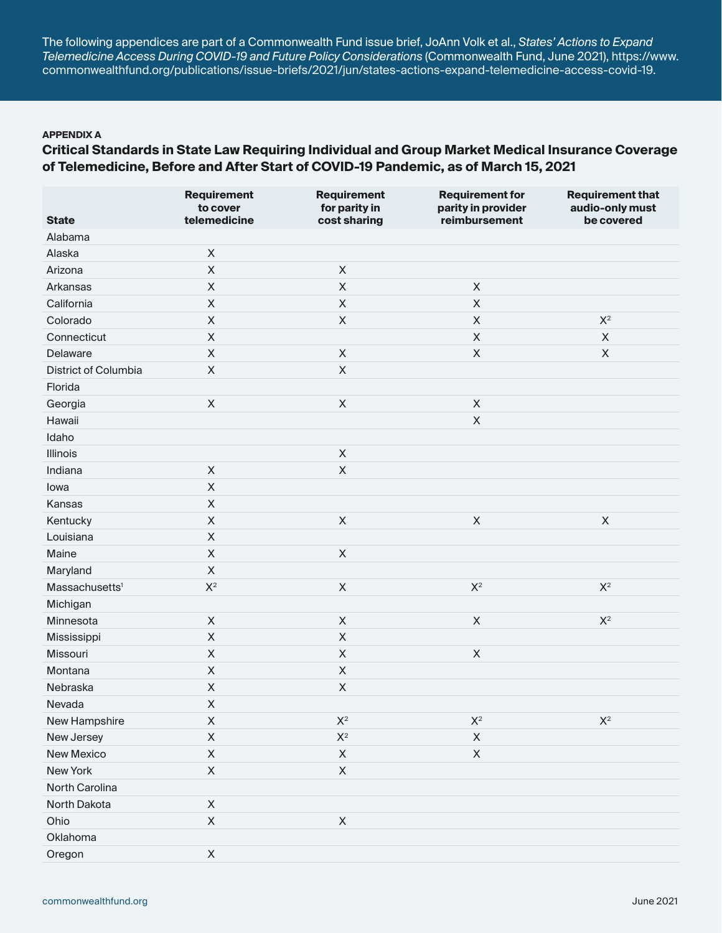The following appendices are part of a Commonwealth Fund issue brief, JoAnn Volk et al., *States' Actions to Expand Telemedicine Access During COVID-19 and Future Policy Considerations* (Commonwealth Fund, June 2021), [https://www.](https://www.commonwealthfund.org/publications/issue-briefs/2021/jun/states-actions-expand-telemedicine-access-covid-19) [commonwealthfund.org/publications/issue-briefs/2021/jun/states-actions-expand-telemedicine-access-covid-19.](https://www.commonwealthfund.org/publications/issue-briefs/2021/jun/states-actions-expand-telemedicine-access-covid-19)

### **APPENDIX A**

# **Critical Standards in State Law Requiring Individual and Group Market Medical Insurance Coverage of Telemedicine, Before and After Start of COVID-19 Pandemic, as of March 15, 2021**

|                            | <b>Requirement</b><br>to cover | <b>Requirement</b><br>for parity in | <b>Requirement for</b><br>parity in provider | <b>Requirement that</b><br>audio-only must |
|----------------------------|--------------------------------|-------------------------------------|----------------------------------------------|--------------------------------------------|
| <b>State</b>               | telemedicine                   | cost sharing                        | reimbursement                                | be covered                                 |
| Alabama                    |                                |                                     |                                              |                                            |
| Alaska                     | $\mathsf X$                    |                                     |                                              |                                            |
| Arizona                    | $\mathsf X$                    | $\mathsf X$                         |                                              |                                            |
| Arkansas                   | $\mathsf X$                    | $\sf X$                             | $\mathsf X$                                  |                                            |
| California                 | $\boldsymbol{\mathsf{X}}$      | $\pmb{\times}$                      | $\mathsf X$                                  |                                            |
| Colorado                   | $\boldsymbol{\mathsf{X}}$      | $\mathsf X$                         | $\mathsf X$                                  | $\mathsf{X}^2$                             |
| Connecticut                | $\boldsymbol{\mathsf{X}}$      |                                     | $\mathsf X$                                  | $\mathsf X$                                |
| Delaware                   | $\boldsymbol{\mathsf{X}}$      | $\mathsf X$                         | $\mathsf X$                                  | $\mathsf X$                                |
| District of Columbia       | $\boldsymbol{\mathsf{X}}$      | $\mathsf X$                         |                                              |                                            |
| Florida                    |                                |                                     |                                              |                                            |
| Georgia                    | $\mathsf X$                    | $\sf X$                             | $\mathsf X$                                  |                                            |
| Hawaii                     |                                |                                     | $\mathsf X$                                  |                                            |
| Idaho                      |                                |                                     |                                              |                                            |
| Illinois                   |                                | $\mathsf X$                         |                                              |                                            |
| Indiana                    | $\mathsf X$                    | $\sf X$                             |                                              |                                            |
| lowa                       | $\mathsf X$                    |                                     |                                              |                                            |
| Kansas                     | $\boldsymbol{\mathsf{X}}$      |                                     |                                              |                                            |
| Kentucky                   | $\boldsymbol{\mathsf{X}}$      | $\sf X$                             | $\mathsf X$                                  | $\mathsf X$                                |
| Louisiana                  | $\boldsymbol{\mathsf{X}}$      |                                     |                                              |                                            |
| Maine                      | $\boldsymbol{\mathsf{X}}$      | $\mathsf X$                         |                                              |                                            |
| Maryland                   | $\boldsymbol{\mathsf{X}}$      |                                     |                                              |                                            |
| Massachusetts <sup>1</sup> | $X^2$                          | $\sf X$                             | $\mathsf{X}^2$                               | $\mathsf{X}^2$                             |
| Michigan                   |                                |                                     |                                              |                                            |
| Minnesota                  | $\boldsymbol{\mathsf{X}}$      | $\mathsf X$                         | $\mathsf X$                                  | $\mathsf{X}^2$                             |
| Mississippi                | $\mathsf X$                    | $\mathsf X$                         |                                              |                                            |
| Missouri                   | $\boldsymbol{\mathsf{X}}$      | $\mathsf X$                         | $\mathsf X$                                  |                                            |
| Montana                    | $\boldsymbol{\mathsf{X}}$      | $\mathsf X$                         |                                              |                                            |
| Nebraska                   | $\mathsf X$                    | $\sf X$                             |                                              |                                            |
| Nevada                     | $\mathsf X$                    |                                     |                                              |                                            |
| New Hampshire              | X                              | $\mathsf{X}^2$                      | $\mathsf{X}^2$                               | $\mathsf{X}^2$                             |
| New Jersey                 | $\mathsf X$                    | $\mathsf{X}^2$                      | $\mathsf X$                                  |                                            |
| New Mexico                 | $\boldsymbol{\mathsf{X}}$      | $\mathsf X$                         | $\mathsf X$                                  |                                            |
| New York                   | $\mathsf X$                    | $\mathsf X$                         |                                              |                                            |
| North Carolina             |                                |                                     |                                              |                                            |
| North Dakota               | $\mathsf X$                    |                                     |                                              |                                            |
| Ohio                       | $\mathsf X$                    | $\mathsf X$                         |                                              |                                            |
| Oklahoma                   |                                |                                     |                                              |                                            |
| Oregon                     | $\mathsf X$                    |                                     |                                              |                                            |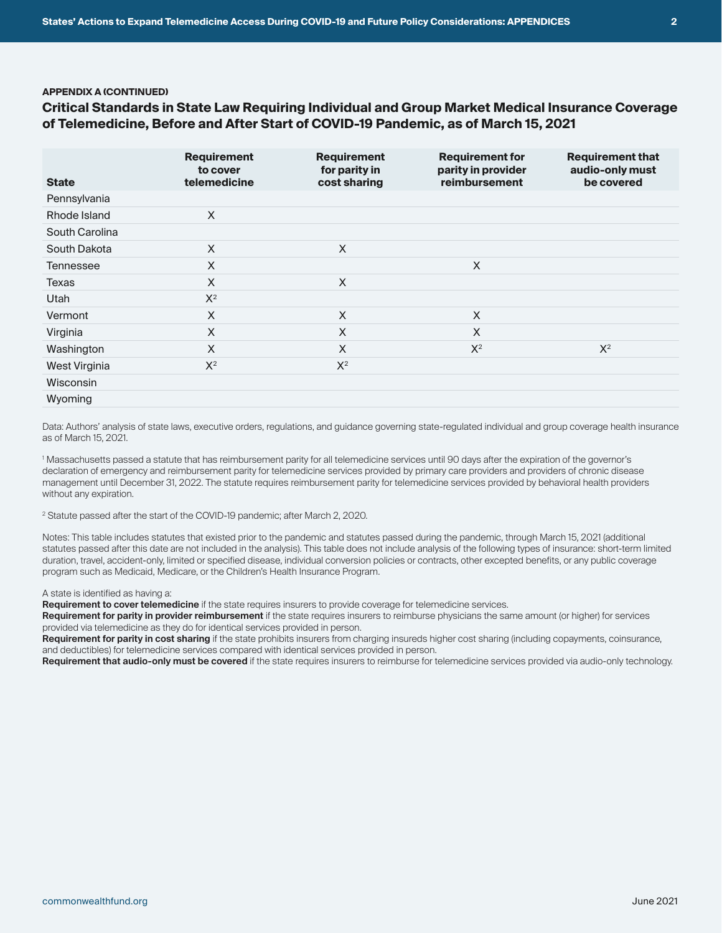#### **APPENDIX A (CONTINUED)**

## **Critical Standards in State Law Requiring Individual and Group Market Medical Insurance Coverage of Telemedicine, Before and After Start of COVID-19 Pandemic, as of March 15, 2021**

| <b>State</b>     | <b>Requirement</b><br>to cover<br>telemedicine | <b>Requirement</b><br>for parity in<br>cost sharing | <b>Requirement for</b><br>parity in provider<br>reimbursement | <b>Requirement that</b><br>audio-only must<br>be covered |
|------------------|------------------------------------------------|-----------------------------------------------------|---------------------------------------------------------------|----------------------------------------------------------|
| Pennsylvania     |                                                |                                                     |                                                               |                                                          |
| Rhode Island     | $\times$                                       |                                                     |                                                               |                                                          |
| South Carolina   |                                                |                                                     |                                                               |                                                          |
| South Dakota     | X                                              | X                                                   |                                                               |                                                          |
| <b>Tennessee</b> | X                                              |                                                     | X                                                             |                                                          |
| <b>Texas</b>     | $\times$                                       | X                                                   |                                                               |                                                          |
| Utah             | $X^2$                                          |                                                     |                                                               |                                                          |
| Vermont          | X                                              | X                                                   | X                                                             |                                                          |
| Virginia         | X                                              | X                                                   | X                                                             |                                                          |
| Washington       | X                                              | X                                                   | $X^2$                                                         | $X^2$                                                    |
| West Virginia    | $X^2$                                          | $X^2$                                               |                                                               |                                                          |
| <b>Wisconsin</b> |                                                |                                                     |                                                               |                                                          |
| Wyoming          |                                                |                                                     |                                                               |                                                          |

Data: Authors' analysis of state laws, executive orders, regulations, and guidance governing state-regulated individual and group coverage health insurance as of March 15, 2021.

1 Massachusetts passed a statute that has reimbursement parity for all telemedicine services until 90 days after the expiration of the governor's declaration of emergency and reimbursement parity for telemedicine services provided by primary care providers and providers of chronic disease management until December 31, 2022. The statute requires reimbursement parity for telemedicine services provided by behavioral health providers without any expiration.

2 Statute passed after the start of the COVID-19 pandemic; after March 2, 2020.

Notes: This table includes statutes that existed prior to the pandemic and statutes passed during the pandemic, through March 15, 2021 (additional statutes passed after this date are not included in the analysis). This table does not include analysis of the following types of insurance: short-term limited duration, travel, accident-only, limited or specified disease, individual conversion policies or contracts, other excepted benefits, or any public coverage program such as Medicaid, Medicare, or the Children's Health Insurance Program.

A state is identified as having a:

**Requirement to cover telemedicine** if the state requires insurers to provide coverage for telemedicine services.

**Requirement for parity in provider reimbursement** if the state requires insurers to reimburse physicians the same amount (or higher) for services provided via telemedicine as they do for identical services provided in person.

**Requirement for parity in cost sharing** if the state prohibits insurers from charging insureds higher cost sharing (including copayments, coinsurance, and deductibles) for telemedicine services compared with identical services provided in person.

**Requirement that audio-only must be covered** if the state requires insurers to reimburse for telemedicine services provided via audio-only technology.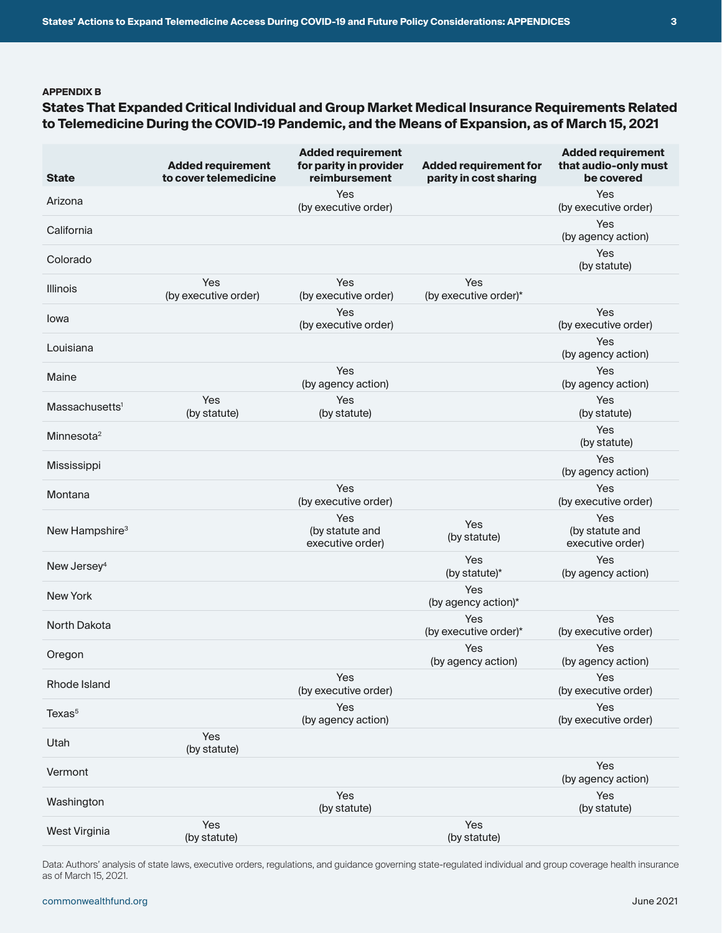## **APPENDIX B**

# **States That Expanded Critical Individual and Group Market Medical Insurance Requirements Related to Telemedicine During the COVID-19 Pandemic, and the Means of Expansion, as of March 15, 2021**

| <b>State</b>               | <b>Added requirement</b><br>to cover telemedicine | <b>Added requirement</b><br>for parity in provider<br>reimbursement | <b>Added requirement for</b><br>parity in cost sharing | <b>Added requirement</b><br>that audio-only must<br>be covered |
|----------------------------|---------------------------------------------------|---------------------------------------------------------------------|--------------------------------------------------------|----------------------------------------------------------------|
| Arizona                    |                                                   | Yes<br>(by executive order)                                         |                                                        | Yes<br>(by executive order)                                    |
| California                 |                                                   |                                                                     |                                                        | Yes<br>(by agency action)                                      |
| Colorado                   |                                                   |                                                                     |                                                        | Yes<br>(by statute)                                            |
| <b>Illinois</b>            | Yes<br>(by executive order)                       | Yes<br>(by executive order)                                         | Yes<br>(by executive order)*                           |                                                                |
| Iowa                       |                                                   | Yes<br>(by executive order)                                         |                                                        | Yes<br>(by executive order)                                    |
| Louisiana                  |                                                   |                                                                     |                                                        | Yes<br>(by agency action)                                      |
| Maine                      |                                                   | Yes<br>(by agency action)                                           |                                                        | Yes<br>(by agency action)                                      |
| Massachusetts <sup>1</sup> | Yes<br>(by statute)                               | Yes<br>(by statute)                                                 |                                                        | Yes<br>(by statute)                                            |
| Minnesota <sup>2</sup>     |                                                   |                                                                     |                                                        | Yes<br>(by statute)                                            |
| Mississippi                |                                                   |                                                                     |                                                        | Yes<br>(by agency action)                                      |
| Montana                    |                                                   | Yes<br>(by executive order)                                         |                                                        | Yes<br>(by executive order)                                    |
| New Hampshire <sup>3</sup> |                                                   | Yes<br>(by statute and<br>executive order)                          | Yes<br>(by statute)                                    | Yes<br>(by statute and<br>executive order)                     |
| New Jersey <sup>4</sup>    |                                                   |                                                                     | Yes<br>(by statute)*                                   | Yes<br>(by agency action)                                      |
| <b>New York</b>            |                                                   |                                                                     | Yes<br>(by agency action)*                             |                                                                |
| <b>North Dakota</b>        |                                                   |                                                                     | Yes<br>(by executive order)*                           | Yes<br>(by executive order)                                    |
| Oregon                     |                                                   |                                                                     | Yes<br>(by agency action)                              | Yes<br>(by agency action)                                      |
| Rhode Island               |                                                   | Yes<br>(by executive order)                                         |                                                        | Yes<br>(by executive order)                                    |
| Texas <sup>5</sup>         |                                                   | Yes<br>(by agency action)                                           |                                                        | Yes<br>(by executive order)                                    |
| Utah                       | Yes<br>(by statute)                               |                                                                     |                                                        |                                                                |
| Vermont                    |                                                   |                                                                     |                                                        | Yes<br>(by agency action)                                      |
| Washington                 |                                                   | Yes<br>(by statute)                                                 |                                                        | Yes<br>(by statute)                                            |
| West Virginia              | Yes<br>(by statute)                               |                                                                     | Yes<br>(by statute)                                    |                                                                |

Data: Authors' analysis of state laws, executive orders, regulations, and guidance governing state-regulated individual and group coverage health insurance as of March 15, 2021.